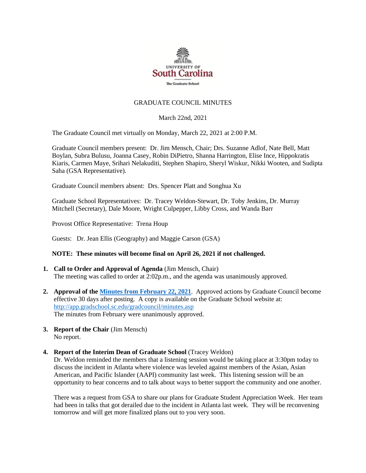

## GRADUATE COUNCIL MINUTES

March 22nd, 2021

The Graduate Council met virtually on Monday, March 22, 2021 at 2:00 P.M.

Graduate Council members present: Dr. Jim Mensch, Chair; Drs. Suzanne Adlof, Nate Bell, Matt Boylan, Subra Bulusu, Joanna Casey, Robin DiPietro, Shanna Harrington, Elise Ince, Hippokratis Kiaris, Carmen Maye, Srihari Nelakuditi, Stephen Shapiro, Sheryl Wiskur, Nikki Wooten, and Sudipta Saha (GSA Representative).

Graduate Council members absent: Drs. Spencer Platt and Songhua Xu

Graduate School Representatives: Dr. Tracey Weldon-Stewart, Dr. Toby Jenkins, Dr. Murray Mitchell (Secretary), Dale Moore, Wright Culpepper, Libby Cross, and Wanda Barr

Provost Office Representative: Trena Houp

Guests: Dr. Jean Ellis (Geography) and Maggie Carson (GSA)

## **NOTE: These minutes will become final on April 26, 2021 if not challenged.**

- **1. Call to Order and Approval of Agenda** (Jim Mensch, Chair) The meeting was called to order at 2:02p.m., and the agenda was unanimously approved.
- **2. Approval of th[e Minutes from February 22, 2021](file://///COSSLAOthello.ds.sc.edu/MIRROR/GRAD/wandab/Profile/Documents/Agendas%20and%20Minutes/GCMINUTES2.22.21_MFM.pdf)**. Approved actions by Graduate Council become effective 30 days after posting. A copy is available on the Graduate School website at: <http://app.gradschool.sc.edu/gradcouncil/minutes.asp> The minutes from February were unanimously approved.
- **3. Report of the Chair** (Jim Mensch) No report.

#### **4. Report of the Interim Dean of Graduate School** (Tracey Weldon)

Dr. Weldon reminded the members that a listening session would be taking place at 3:30pm today to discuss the incident in Atlanta where violence was leveled against members of the Asian, Asian American, and Pacific Islander (AAPI) community last week. This listening session will be an opportunity to hear concerns and to talk about ways to better support the community and one another.

There was a request from GSA to share our plans for Graduate Student Appreciation Week. Her team had been in talks that got derailed due to the incident in Atlanta last week. They will be reconvening tomorrow and will get more finalized plans out to you very soon.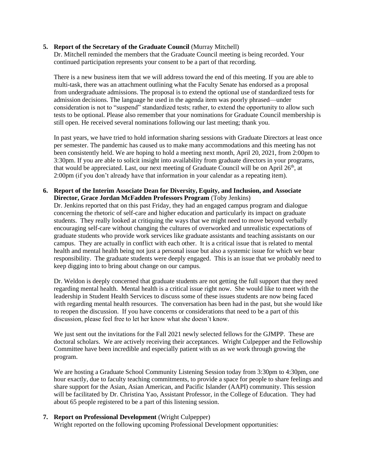## **5. Report of the Secretary of the Graduate Council** (Murray Mitchell)

Dr. Mitchell reminded the members that the Graduate Council meeting is being recorded. Your continued participation represents your consent to be a part of that recording.

There is a new business item that we will address toward the end of this meeting. If you are able to multi-task, there was an attachment outlining what the Faculty Senate has endorsed as a proposal from undergraduate admissions. The proposal is to extend the optional use of standardized tests for admission decisions. The language he used in the agenda item was poorly phrased—under consideration is not to "suspend" standardized tests; rather, to extend the opportunity to allow such tests to be optional. Please also remember that your nominations for Graduate Council membership is still open. He received several nominations following our last meeting; thank you.

In past years, we have tried to hold information sharing sessions with Graduate Directors at least once per semester. The pandemic has caused us to make many accommodations and this meeting has not been consistently held. We are hoping to hold a meeting next month, April 20, 2021, from 2:00pm to 3:30pm. If you are able to solicit insight into availability from graduate directors in your programs, that would be appreciated. Last, our next meeting of Graduate Council will be on April  $26<sup>th</sup>$ , at 2:00pm (if you don't already have that information in your calendar as a repeating item).

## **6. Report of the Interim Associate Dean for Diversity, Equity, and Inclusion, and Associate Director, Grace Jordan McFadden Professors Program** (Toby Jenkins)

Dr. Jenkins reported that on this past Friday, they had an engaged campus program and dialogue concerning the rhetoric of self-care and higher education and particularly its impact on graduate students. They really looked at critiquing the ways that we might need to move beyond verbally encouraging self-care without changing the cultures of overworked and unrealistic expectations of graduate students who provide work services like graduate assistants and teaching assistants on our campus. They are actually in conflict with each other. It is a critical issue that is related to mental health and mental health being not just a personal issue but also a systemic issue for which we bear responsibility. The graduate students were deeply engaged. This is an issue that we probably need to keep digging into to bring about change on our campus.

Dr. Weldon is deeply concerned that graduate students are not getting the full support that they need regarding mental health. Mental health is a critical issue right now. She would like to meet with the leadership in Student Health Services to discuss some of these issues students are now being faced with regarding mental health resources. The conversation has been had in the past, but she would like to reopen the discussion. If you have concerns or considerations that need to be a part of this discussion, please feel free to let her know what she doesn't know.

We just sent out the invitations for the Fall 2021 newly selected fellows for the GJMPP. These are doctoral scholars. We are actively receiving their acceptances. Wright Culpepper and the Fellowship Committee have been incredible and especially patient with us as we work through growing the program.

We are hosting a Graduate School Community Listening Session today from 3:30pm to 4:30pm, one hour exactly, due to faculty teaching commitments, to provide a space for people to share feelings and share support for the Asian, Asian American, and Pacific Islander (AAPI) community. This session will be facilitated by Dr. Christina Yao, Assistant Professor, in the College of Education. They had about 65 people registered to be a part of this listening session.

## **7. Report on Professional Development** (Wright Culpepper)

Wright reported on the following upcoming Professional Development opportunities: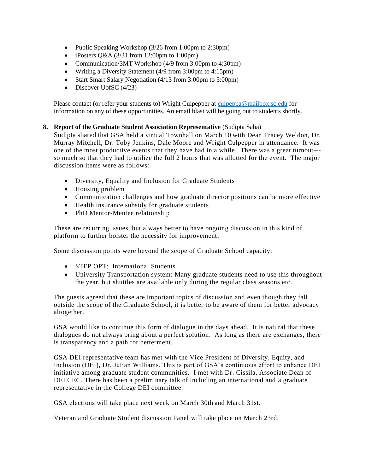- Public Speaking Workshop (3/26 from 1:00pm to 2:30pm)
- iPosters Q&A (3/31 from 12:00pm to 1:00pm)
- Communication/3MT Workshop (4/9 from 3:00pm to 4:30pm)
- Writing a Diversity Statement (4/9 from 3:00pm to 4:15pm)
- Start Smart Salary Negotiation (4/13 from 3:00pm to 5:00pm)
- Discover UofSC  $(4/23)$

Please contact (or refer your students to) Wright Culpepper at [culpeppa@mailbox.sc.edu](mailto:culpeppa@mailbox.sc.edu) for information on any of these opportunities. An email blast will be going out to students shortly.

## **8. Report of the Graduate Student Association Representative** (Sudipta Saha)

Sudipta shared that GSA held a virtual Townhall on March 10 with Dean Tracey Weldon, Dr. Murray Mitchell, Dr. Toby Jenkins, Dale Moore and Wright Culpepper in attendance. It was one of the most productive events that they have had in a while. There was a great turnout-- so much so that they had to utilize the full 2 hours that was allotted for the event. The major discussion items were as follows:

- Diversity, Equality and Inclusion for Graduate Students
- Housing problem
- Communication challenges and how graduate director positions can be more effective
- Health insurance subsidy for graduate students
- PhD Mentor-Mentee relationship

These are recurring issues, but always better to have ongoing discussion in this kind of platform to further bolster the necessity for improvement.

Some discussion points were beyond the scope of Graduate School capacity:

- STEP OPT: International Students
- University Transportation system: Many graduate students need to use this throughout the year, but shuttles are available only during the regular class seasons etc.

The guests agreed that these are important topics of discussion and even though they fall outside the scope of the Graduate School, it is better to be aware of them for better advocacy altogether.

GSA would like to continue this form of dialogue in the days ahead. It is natural that these dialogues do not always bring about a perfect solution. As long as there are exchanges, there is transparency and a path for betterment.

GSA DEI representative team has met with the Vice President of Diversity, Equity, and Inclusion (DEI), Dr. Julian Williams. This is part of GSA's continuous effort to enhance DEI initiative among graduate student communities. I met with Dr. Cissila, Associate Dean of DEI CEC. There has been a preliminary talk of including an international and a graduate representative in the College DEI committee.

GSA elections will take place next week on March 30th and March 31st.

Veteran and Graduate Student discussion Panel will take place on March 23rd.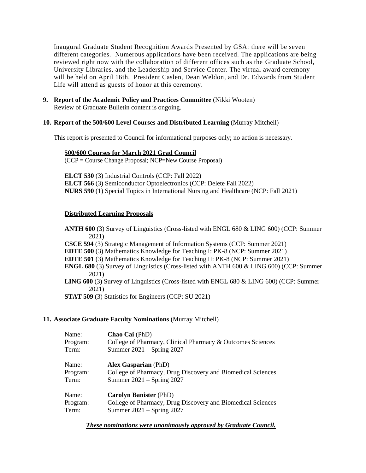Inaugural Graduate Student Recognition Awards Presented by GSA: there will be seven different categories. Numerous applications have been received. The applications are being reviewed right now with the collaboration of different offices such as the Graduate School, University Libraries, and the Leadership and Service Center. The virtual award ceremony will be held on April 16th. President Caslen, Dean Weldon, and Dr. Edwards from Student Life will attend as guests of honor at this ceremony.

**9. Report of the Academic Policy and Practices Committee** (Nikki Wooten) Review of Graduate Bulletin content is ongoing.

### **10. Report of the 500/600 Level Courses and Distributed Learning** (Murray Mitchell)

This report is presented to Council for informational purposes only; no action is necessary.

#### **500/600 Courses for March 2021 Grad Council**

(CCP = Course Change Proposal; NCP=New Course Proposal)

**ELCT 530** (3) Industrial Controls (CCP: Fall 2022) **ELCT 566** (3) Semiconductor Optoelectronics (CCP: Delete Fall 2022) **NURS 590** (1) Special Topics in International Nursing and Healthcare (NCP: Fall 2021)

## **Distributed Learning Proposals**

**ANTH 600** (3) Survey of Linguistics (Cross-listed with ENGL 680 & LING 600) (CCP: Summer 2021)

**CSCE 594** (3) Strategic Management of Information Systems (CCP: Summer 2021)

**EDTE 500** (3) Mathematics Knowledge for Teaching I: PK-8 (NCP: Summer 2021)

**EDTE 501** (3) Mathematics Knowledge for Teaching II: PK-8 (NCP: Summer 2021)

- **ENGL 680** (3) Survey of Linguistics (Cross-listed with ANTH 600 & LING 600) (CCP: Summer 2021)
- **LING 600** (3) Survey of Linguistics (Cross-listed with ENGL 680 & LING 600) (CCP: Summer 2021)

**STAT 509** (3) Statistics for Engineers (CCP: SU 2021)

#### **11. Associate Graduate Faculty Nominations** (Murray Mitchell)

| Name:                      | Chao Cai (PhD)                                                                                                              |
|----------------------------|-----------------------------------------------------------------------------------------------------------------------------|
| Program:                   | College of Pharmacy, Clinical Pharmacy & Outcomes Sciences                                                                  |
| Term:                      | Summer $2021 -$ Spring 2027                                                                                                 |
| Name:<br>Program:<br>Term: | <b>Alex Gasparian (PhD)</b><br>College of Pharmacy, Drug Discovery and Biomedical Sciences<br>Summer 2021 – Spring 2027     |
| Name:<br>Program:<br>Term: | <b>Carolyn Banister (PhD)</b><br>College of Pharmacy, Drug Discovery and Biomedical Sciences<br>Summer $2021 -$ Spring 2027 |

*These nominations were unanimously approved by Graduate Council.*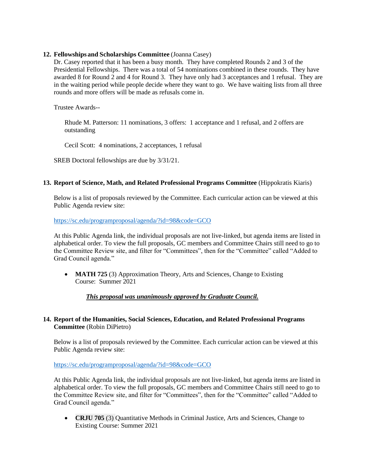# **12. Fellowships and Scholarships Committee** (Joanna Casey)

Dr. Casey reported that it has been a busy month. They have completed Rounds 2 and 3 of the Presidential Fellowships. There was a total of 54 nominations combined in these rounds. They have awarded 8 for Round 2 and 4 for Round 3. They have only had 3 acceptances and 1 refusal. They are in the waiting period while people decide where they want to go. We have waiting lists from all three rounds and more offers will be made as refusals come in.

Trustee Awards--

Rhude M. Patterson: 11 nominations, 3 offers: 1 acceptance and 1 refusal, and 2 offers are outstanding

Cecil Scott: 4 nominations, 2 acceptances, 1 refusal

SREB Doctoral fellowships are due by 3/31/21.

# **13. Report of Science, Math, and Related Professional Programs Committee** (Hippokratis Kiaris)

Below is a list of proposals reviewed by the Committee. Each curricular action can be viewed at this Public Agenda review site:

<https://sc.edu/programproposal/agenda/?id=98&code=GCO>

At this Public Agenda link, the individual proposals are not live-linked, but agenda items are listed in alphabetical order. To view the full proposals, GC members and Committee Chairs still need to go to the Committee Review site, and filter for "Committees", then for the "Committee" called "Added to Grad Council agenda."

• **MATH 725** (3) Approximation Theory, Arts and Sciences, Change to Existing Course: Summer 2021

*This proposal was unanimously approved by Graduate Council.*

# **14. Report of the Humanities, Social Sciences, Education, and Related Professional Programs Committee** (Robin DiPietro)

Below is a list of proposals reviewed by the Committee. Each curricular action can be viewed at this Public Agenda review site:

## <https://sc.edu/programproposal/agenda/?id=98&code=GCO>

At this Public Agenda link, the individual proposals are not live-linked, but agenda items are listed in alphabetical order. To view the full proposals, GC members and Committee Chairs still need to go to the Committee Review site, and filter for "Committees", then for the "Committee" called "Added to Grad Council agenda."

• **CRJU 705** (3) Quantitative Methods in Criminal Justice, Arts and Sciences, Change to Existing Course: Summer 2021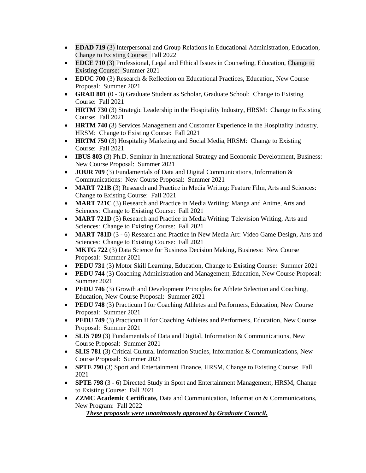- **EDAD 719** (3) Interpersonal and Group Relations in Educational Administration, Education, Change to Existing Course:Fall 2022
- **EDCE 710** (3) Professional, Legal and Ethical Issues in Counseling, Education, Change to Existing Course:Summer 2021
- **EDUC 700** (3) Research & Reflection on Educational Practices, Education, New Course Proposal: Summer 2021
- **GRAD 801** (0 3) Graduate Student as Scholar, Graduate School: Change to Existing Course: Fall 2021
- **HRTM 730** (3) Strategic Leadership in the Hospitality Industry, HRSM: Change to Existing Course: Fall 2021
- **HRTM 740** (3) Services Management and Customer Experience in the Hospitality Industry, HRSM: Change to Existing Course: Fall 2021
- **HRTM 750** (3) Hospitality Marketing and Social Media, HRSM: Change to Existing Course: Fall 2021
- **IBUS 803** (3) Ph.D. Seminar in International Strategy and Economic Development, Business: New Course Proposal: Summer 2021
- **JOUR 709** (3) Fundamentals of Data and Digital Communications, Information & Communications: New Course Proposal: Summer 2021
- **MART 721B** (3) Research and Practice in Media Writing: Feature Film, Arts and Sciences: Change to Existing Course: Fall 2021
- **MART 721C** (3) Research and Practice in Media Writing: Manga and Anime, Arts and Sciences: Change to Existing Course: Fall 2021
- **MART 721D** (3) Research and Practice in Media Writing: Television Writing, Arts and Sciences: Change to Existing Course: Fall 2021
- **MART 781D** (3 6) Research and Practice in New Media Art: Video Game Design, Arts and Sciences: Change to Existing Course: Fall 2021
- **MKTG 722** (3) Data Science for Business Decision Making, Business: New Course Proposal: Summer 2021
- **PEDU 731** (3) Motor Skill Learning, Education, Change to Existing Course: Summer 2021
- **PEDU 744** (3) Coaching Administration and Management, Education, New Course Proposal: Summer 2021
- **PEDU 746** (3) Growth and Development Principles for Athlete Selection and Coaching, Education, New Course Proposal: Summer 2021
- **PEDU 748** (3) Practicum I for Coaching Athletes and Performers, Education, New Course Proposal: Summer 2021
- **PEDU 749** (3) Practicum II for Coaching Athletes and Performers, Education, New Course Proposal: Summer 2021
- **SLIS 709** (3) Fundamentals of Data and Digital, Information & Communications, New Course Proposal: Summer 2021
- **SLIS 781** (3) Critical Cultural Information Studies, Information & Communications, New Course Proposal: Summer 2021
- **SPTE 790** (3) Sport and Entertainment Finance, HRSM, Change to Existing Course: Fall 2021
- **SPTE 798** (3 6) Directed Study in Sport and Entertainment Management, HRSM, Change to Existing Course: Fall 2021
- **ZZMC Academic Certificate,** Data and Communication, Information & Communications, New Program: Fall 2022

*These proposals were unanimously approved by Graduate Council.*